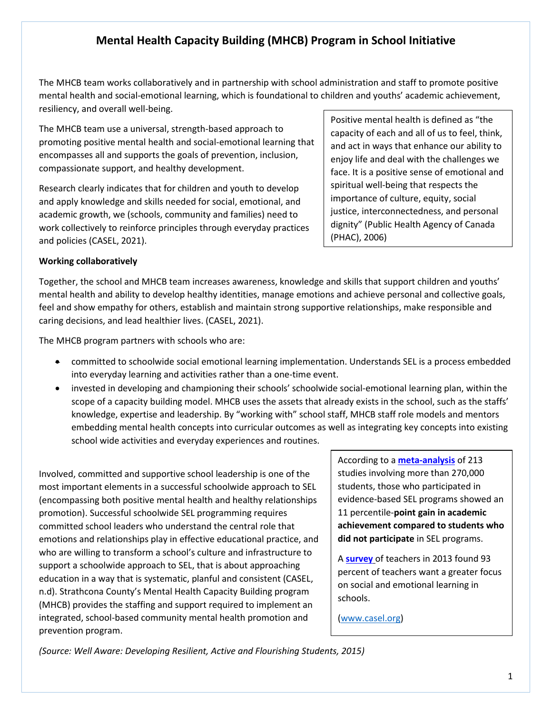## **Mental Health Capacity Building (MHCB) Program in School Initiative**

The MHCB team works collaboratively and in partnership with school administration and staff to promote positive mental health and social-emotional learning, which is foundational to children and youths' academic achievement, resiliency, and overall well-being.

The MHCB team use a universal, strength-based approach to promoting positive mental health and social-emotional learning that encompasses all and supports the goals of prevention, inclusion, compassionate support, and healthy development.

Research clearly indicates that for children and youth to develop and apply knowledge and skills needed for social, emotional, and academic growth, we (schools, community and families) need to work collectively to reinforce principles through everyday practices and policies (CASEL, 2021).

Positive mental health is defined as "the capacity of each and all of us to feel, think, and act in ways that enhance our ability to enjoy life and deal with the challenges we face. It is a positive sense of emotional and spiritual well-being that respects the importance of culture, equity, social justice, interconnectedness, and personal dignity" (Public Health Agency of Canada (PHAC), 2006)

## **Working collaboratively**

Together, the school and MHCB team increases awareness, knowledge and skills that support children and youths' mental health and ability to develop healthy identities, manage emotions and achieve personal and collective goals, feel and show empathy for others, establish and maintain strong supportive relationships, make responsible and caring decisions, and lead healthier lives. (CASEL, 2021).

The MHCB program partners with schools who are:

- committed to schoolwide social emotional learning implementation. Understands SEL is a process embedded into everyday learning and activities rather than a one-time event.
- invested in developing and championing their schools' schoolwide social-emotional learning plan, within the scope of a capacity building model. MHCB uses the assets that already exists in the school, such as the staffs' knowledge, expertise and leadership. By "working with" school staff, MHCB staff role models and mentors embedding mental health concepts into curricular outcomes as well as integrating key concepts into existing school wide activities and everyday experiences and routines.

Involved, committed and supportive school leadership is one of the most important elements in a successful schoolwide approach to SEL (encompassing both positive mental health and healthy relationships promotion). Successful schoolwide SEL programming requires committed school leaders who understand the central role that emotions and relationships play in effective educational practice, and who are willing to transform a school's culture and infrastructure to support a schoolwide approach to SEL, that is about approaching education in a way that is systematic, planful and consistent (CASEL, n.d). Strathcona County's Mental Health Capacity Building program (MHCB) provides the staffing and support required to implement an integrated, school-based community mental health promotion and prevention program.

According to a **[meta-analysis](http://www.casel.org/wp-content/uploads/2016/01/meta-analysis-child-development-1.pdf)** of 213 studies involving more than 270,000 students, those who participated in evidence-based SEL programs showed an 11 percentile-**point gain in academic achievement compared to students who did not participate** in SEL programs.

A **[survey](http://www.casel.org/wp-content/uploads/2016/01/the-missing-piece.pdf)** of teachers in 2013 found 93 percent of teachers want a greater focus on social and emotional learning in schools.

[\(www.casel.org\)](http://www.casel.org/)

*(Source: Well Aware: Developing Resilient, Active and Flourishing Students, 2015)*